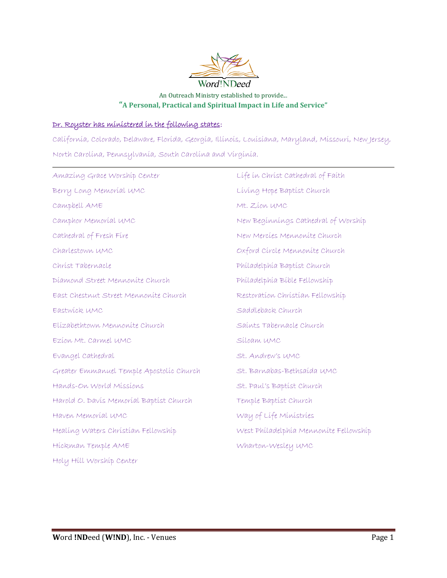

## An Outreach Ministry established to provide... **"A Personal, Practical and Spiritual Impact in Life and Service"**

## Dr. Royster has ministered in the following states:

California, Colorado, Delaware, Florida, Georgia, Illinois, Louisiana, Maryland, Missouri, New Jersey, North Carolina, Pennsylvania, South Carolina and Virginia.

| Amazing Grace Worship Center             | Life in Christ Cathedral of Faith      |
|------------------------------------------|----------------------------------------|
| Berry Long Memorial UMC                  | Living Hope Baptist Church             |
| Campbell AME                             | Mt. Zíon UMC                           |
| Camphor Memoríal UMC                     | New Beginnings Cathedral of Worship    |
| Cathedral of Fresh Fire                  | New Mercies Mennonite Church           |
| Charlestown UMC                          | Oxford Círcle Mennonite Church         |
| Christ Tabernacle                        | Philadelphia Baptist Church            |
| Diamond Street Mennonite Church          | Philadelphia Bible Fellowship          |
| East Chestnut Street Mennonite Church    | Restoration Christian Fellowship       |
| Eastwick UMC                             | Saddleback Church                      |
| Elízabethtown Mennonite Church           | Saints Tabernacle Church               |
| Ezíon Mt. Carmel UMC                     | Síloam UMC                             |
| Evangel Cathedral                        | St. Andrew's UMC                       |
| Greater Emmanuel Temple Apostolic Church | St. Barnabas-Bethsaída UMC             |
| Hands-On World Missions                  | St. Paul's Baptist Church              |
| Harold O. Davis Memorial Baptist Church  | Temple Baptist Church                  |
| Haven Memoríal UMC                       | Way of Life Ministries                 |
| Healing Waters Christian Fellowship      | West Philadelphia Mennonite Fellowship |
| Hickman Temple AME                       | Wharton-Wesley UMC                     |
| Holy Hill Worship Center                 |                                        |